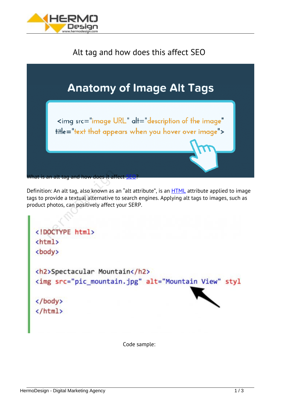

## *Alt tag and how does this affect SEO*



*Definition: An alt tag, also known as an "alt attribute", is an [HTML](https://en.wikipedia.org/wiki/HTML) attribute applied to image tags to provide a textual alternative to search engines. Applying alt tags to images, such as product photos, can positively affect your SERP.* an alt tag and how does it affer<br>on: An alt tag, also known as a<br>provide a textual alternative to:<br>photos, can positively affect y

<body> <h2>Spectacular Mountain</h2> <img src="pic\_mountain.jpg" alt="Mountain View" styl </body> </html>

*Code sample:*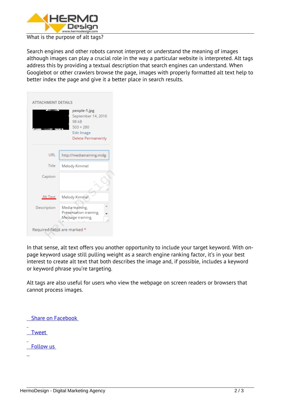

## *What is the purpose of alt tags?*

*Search engines and other robots cannot interpret or understand the meaning of images although images can play a crucial role in the way a particular website is interpreted. Alt tags address this by providing a textual description that search engines can understand. When Googlebot or other crawlers browse the page, images with properly formatted alt text help to better index the page and give it a better place in search results.*

| <b>ATTACHMENT DETAILS</b>    |                                                                                                     |
|------------------------------|-----------------------------------------------------------------------------------------------------|
|                              | people-1.jpg<br>September 14, 2016<br>98 kB<br>$503 \times 280$<br>Edit Image<br>Delete Permanently |
| URL                          | http://mediatraining.mslgi                                                                          |
| Title                        | Melody Kimmel                                                                                       |
| Caption                      |                                                                                                     |
| Alt Text                     | Melody Kimmel                                                                                       |
| Description                  | Media training,<br>Presentation training,<br>Message training,<br>i.                                |
| Required fields are marked * |                                                                                                     |

*In that sense, alt text offers you another opportunity to include your target keyword. With onpage keyword usage still pulling weight as a search engine ranking factor, it's in your best interest to create alt text that both describes the image and, if possible, includes a keyword or keyword phrase you're targeting.*

*Alt tags are also useful for users who view the webpage on screen readers or browsers that cannot process images.*

 *Share on Facebook*

 *Tweet*

 *Follow us*